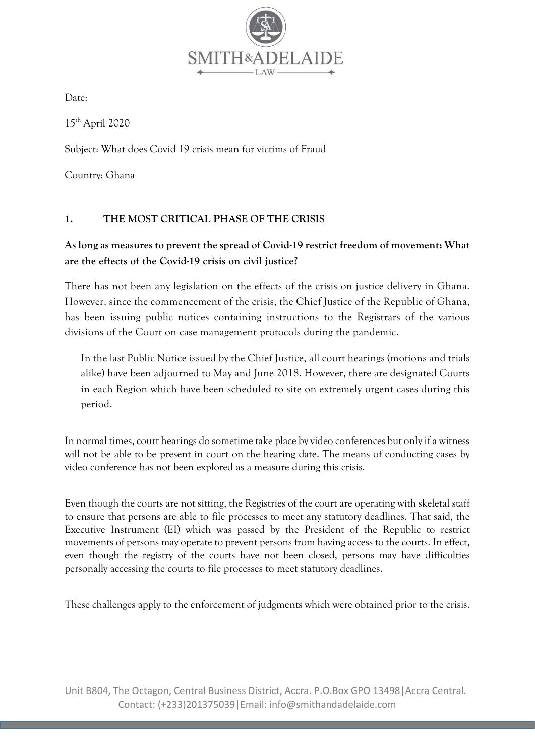

Date:

15th April 2020

Subject: What does Covid 19 crisis mean for victims of Fraud

Country: Ghana

### 1. THE MOST CRITICAL PHASE OF THE CRISIS

## As long as measures to prevent the spread of Covid-19 restrict freedom of movement: What are the effects of the Covid-19 crisis on civil justice?

There has not been any legislation on the effects of the crisis on justice delivery in Ghana. However, since the commencement of the crisis, the Chief Justice of the Republic of Ghana, has been issuing public notices containing instructions to the Registrars of the various divisions of the Court on case management protocols during the pandemic.

In the last Public Notice issued by the Chief Justice, all court hearings (motions and trials alike) have been adjourned to May and June 2018. However, there are designated Courts in each Region which have been scheduled to site on extremely urgent cases during this period.

In normal times, court hearings do sometime take place by video conferences but only if a witness will not be able to be present in court on the hearing date. The means of conducting cases by video conference has not been explored as a measure during this crisis.

Even though the courts are not sitting, the Registries of the court are operating with skeletal staff to ensure that persons are able to file processes to meet any statutory deadlines. That said, the Executive Instrument (EI) which was passed by the President of the Republic to restrict movements of persons may operate to prevent persons from having access to the courts. In effect, even though the registry of the courts have not been closed, persons may have difficulties personally accessing the courts to file processes to meet statutory deadlines.

These challenges apply to the enforcement of judgments which were obtained prior to the crisis.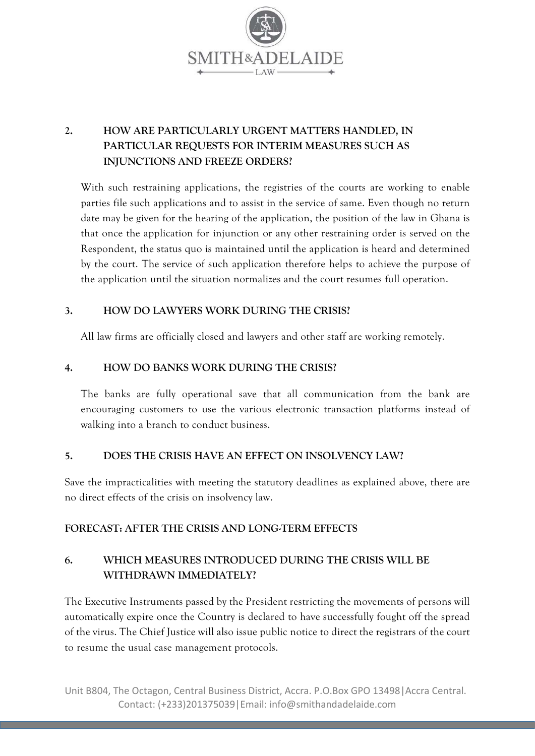

# 2. HOW ARE PARTICULARLY URGENT MATTERS HANDLED, IN PARTICULAR REQUESTS FOR INTERIM MEASURES SUCH AS INJUNCTIONS AND FREEZE ORDERS?

With such restraining applications, the registries of the courts are working to enable parties file such applications and to assist in the service of same. Even though no return date may be given for the hearing of the application, the position of the law in Ghana is that once the application for injunction or any other restraining order is served on the Respondent, the status quo is maintained until the application is heard and determined by the court. The service of such application therefore helps to achieve the purpose of the application until the situation normalizes and the court resumes full operation.

### 3. HOW DO LAWYERS WORK DURING THE CRISIS?

All law firms are officially closed and lawyers and other staff are working remotely.

### 4. HOW DO BANKS WORK DURING THE CRISIS?

The banks are fully operational save that all communication from the bank are encouraging customers to use the various electronic transaction platforms instead of walking into a branch to conduct business.

#### 5. DOES THE CRISIS HAVE AN EFFECT ON INSOLVENCY LAW?

Save the impracticalities with meeting the statutory deadlines as explained above, there are no direct effects of the crisis on insolvency law.

### FORECAST: AFTER THE CRISIS AND LONG-TERM EFFECTS

# 6. WHICH MEASURES INTRODUCED DURING THE CRISIS WILL BE WITHDRAWN IMMEDIATELY?

The Executive Instruments passed by the President restricting the movements of persons will automatically expire once the Country is declared to have successfully fought off the spread of the virus. The Chief Justice will also issue public notice to direct the registrars of the court to resume the usual case management protocols.

Unit B804, The Octagon, Central Business District, Accra. P.O.Box GPO 13498|Accra Central. Contact: (+233)201375039|Email: info@smithandadelaide.com